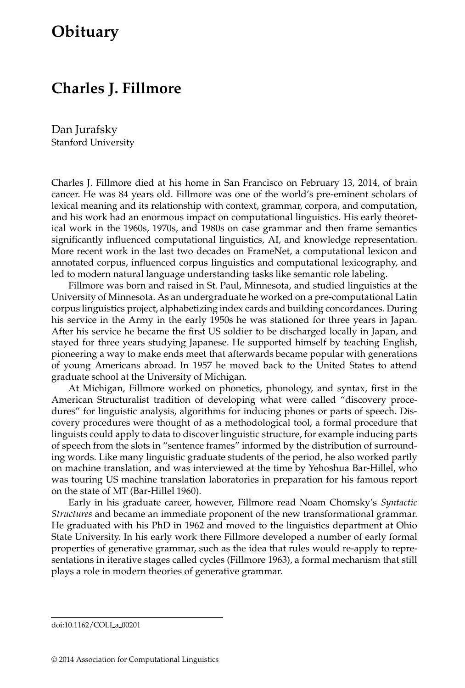# **Obituary**

## **Charles J. Fillmore**

Dan Jurafsky Stanford University

Charles J. Fillmore died at his home in San Francisco on February 13, 2014, of brain cancer. He was 84 years old. Fillmore was one of the world's pre-eminent scholars of lexical meaning and its relationship with context, grammar, corpora, and computation, and his work had an enormous impact on computational linguistics. His early theoretical work in the 1960s, 1970s, and 1980s on case grammar and then frame semantics significantly influenced computational linguistics, AI, and knowledge representation. More recent work in the last two decades on FrameNet, a computational lexicon and annotated corpus, influenced corpus linguistics and computational lexicography, and led to modern natural language understanding tasks like semantic role labeling.

Fillmore was born and raised in St. Paul, Minnesota, and studied linguistics at the University of Minnesota. As an undergraduate he worked on a pre-computational Latin corpus linguistics project, alphabetizing index cards and building concordances. During his service in the Army in the early 1950s he was stationed for three years in Japan. After his service he became the first US soldier to be discharged locally in Japan, and stayed for three years studying Japanese. He supported himself by teaching English, pioneering a way to make ends meet that afterwards became popular with generations of young Americans abroad. In 1957 he moved back to the United States to attend graduate school at the University of Michigan.

At Michigan, Fillmore worked on phonetics, phonology, and syntax, first in the American Structuralist tradition of developing what were called "discovery procedures" for linguistic analysis, algorithms for inducing phones or parts of speech. Discovery procedures were thought of as a methodological tool, a formal procedure that linguists could apply to data to discover linguistic structure, for example inducing parts of speech from the slots in "sentence frames" informed by the distribution of surrounding words. Like many linguistic graduate students of the period, he also worked partly on machine translation, and was interviewed at the time by Yehoshua Bar-Hillel, who was touring US machine translation laboratories in preparation for his famous report on the state of MT (Bar-Hillel 1960).

Early in his graduate career, however, Fillmore read Noam Chomsky's *Syntactic Structures* and became an immediate proponent of the new transformational grammar. He graduated with his PhD in 1962 and moved to the linguistics department at Ohio State University. In his early work there Fillmore developed a number of early formal properties of generative grammar, such as the idea that rules would re-apply to representations in iterative stages called cycles (Fillmore 1963), a formal mechanism that still plays a role in modern theories of generative grammar.

doi:10.1162/COLI a 00201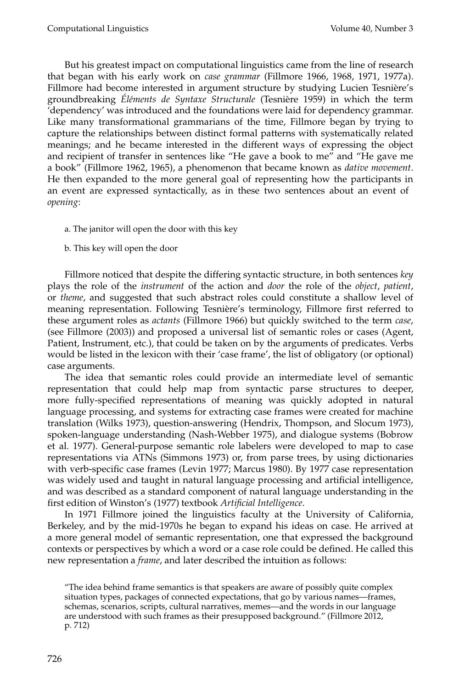But his greatest impact on computational linguistics came from the line of research that began with his early work on *case grammar* (Fillmore 1966, 1968, 1971, 1977a). Fillmore had become interested in argument structure by studying Lucien Tesnière's groundbreaking *Éléments de Syntaxe Structurale* (Tesnière 1959) in which the term 'dependency' was introduced and the foundations were laid for dependency grammar. Like many transformational grammarians of the time, Fillmore began by trying to capture the relationships between distinct formal patterns with systematically related meanings; and he became interested in the different ways of expressing the object and recipient of transfer in sentences like "He gave a book to me" and "He gave me a book" (Fillmore 1962, 1965), a phenomenon that became known as *dative movement*. He then expanded to the more general goal of representing how the participants in an event are expressed syntactically, as in these two sentences about an event of *opening*:

- a. The janitor will open the door with this key
- b. This key will open the door

Fillmore noticed that despite the differing syntactic structure, in both sentences *key* plays the role of the *instrument* of the action and *door* the role of the *object*, *patient*, or *theme*, and suggested that such abstract roles could constitute a shallow level of meaning representation. Following Tesnière's terminology, Fillmore first referred to these argument roles as *actants* (Fillmore 1966) but quickly switched to the term *case*, (see Fillmore (2003)) and proposed a universal list of semantic roles or cases (Agent, Patient, Instrument, etc.), that could be taken on by the arguments of predicates. Verbs would be listed in the lexicon with their 'case frame', the list of obligatory (or optional) case arguments.

The idea that semantic roles could provide an intermediate level of semantic representation that could help map from syntactic parse structures to deeper, more fully-specified representations of meaning was quickly adopted in natural language processing, and systems for extracting case frames were created for machine translation (Wilks 1973), question-answering (Hendrix, Thompson, and Slocum 1973), spoken-language understanding (Nash-Webber 1975), and dialogue systems (Bobrow et al. 1977). General-purpose semantic role labelers were developed to map to case representations via ATNs (Simmons 1973) or, from parse trees, by using dictionaries with verb-specific case frames (Levin 1977; Marcus 1980). By 1977 case representation was widely used and taught in natural language processing and artificial intelligence, and was described as a standard component of natural language understanding in the first edition of Winston's (1977) textbook *Artificial Intelligence*.

In 1971 Fillmore joined the linguistics faculty at the University of California, Berkeley, and by the mid-1970s he began to expand his ideas on case. He arrived at a more general model of semantic representation, one that expressed the background contexts or perspectives by which a word or a case role could be defined. He called this new representation a *frame*, and later described the intuition as follows:

<sup>&</sup>quot;The idea behind frame semantics is that speakers are aware of possibly quite complex situation types, packages of connected expectations, that go by various names—frames, schemas, scenarios, scripts, cultural narratives, memes—and the words in our language are understood with such frames as their presupposed background." (Fillmore 2012, p. 712)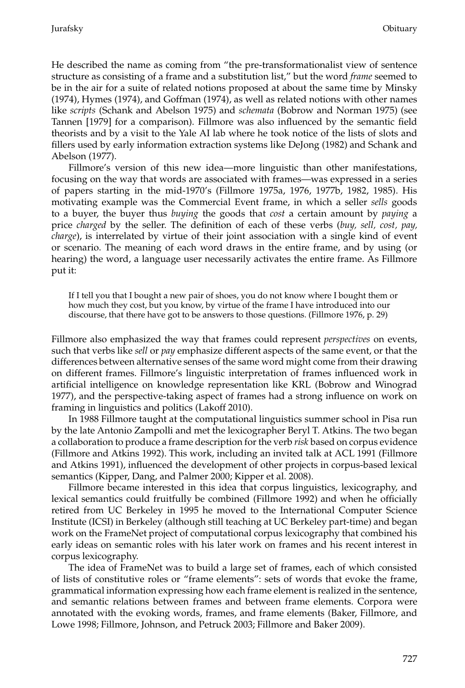He described the name as coming from "the pre-transformationalist view of sentence structure as consisting of a frame and a substitution list," but the word *frame* seemed to be in the air for a suite of related notions proposed at about the same time by Minsky (1974), Hymes (1974), and Goffman (1974), as well as related notions with other names like *scripts* (Schank and Abelson 1975) and *schemata* (Bobrow and Norman 1975) (see Tannen [1979] for a comparison). Fillmore was also influenced by the semantic field theorists and by a visit to the Yale AI lab where he took notice of the lists of slots and fillers used by early information extraction systems like DeJong (1982) and Schank and Abelson (1977).

Fillmore's version of this new idea—more linguistic than other manifestations, focusing on the way that words are associated with frames—was expressed in a series of papers starting in the mid-1970's (Fillmore 1975a, 1976, 1977b, 1982, 1985). His motivating example was the Commercial Event frame, in which a seller *sells* goods to a buyer, the buyer thus *buying* the goods that *cost* a certain amount by *paying* a price *charged* by the seller. The definition of each of these verbs (*buy, sell, cost, pay, charge*), is interrelated by virtue of their joint association with a single kind of event or scenario. The meaning of each word draws in the entire frame, and by using (or hearing) the word, a language user necessarily activates the entire frame. As Fillmore put it:

If I tell you that I bought a new pair of shoes, you do not know where I bought them or how much they cost, but you know, by virtue of the frame I have introduced into our discourse, that there have got to be answers to those questions. (Fillmore 1976, p. 29)

Fillmore also emphasized the way that frames could represent *perspectives* on events, such that verbs like *sell* or *pay* emphasize different aspects of the same event, or that the differences between alternative senses of the same word might come from their drawing on different frames. Fillmore's linguistic interpretation of frames influenced work in artificial intelligence on knowledge representation like KRL (Bobrow and Winograd 1977), and the perspective-taking aspect of frames had a strong influence on work on framing in linguistics and politics (Lakoff 2010).

In 1988 Fillmore taught at the computational linguistics summer school in Pisa run by the late Antonio Zampolli and met the lexicographer Beryl T. Atkins. The two began a collaboration to produce a frame description for the verb *risk* based on corpus evidence (Fillmore and Atkins 1992). This work, including an invited talk at ACL 1991 (Fillmore and Atkins 1991), influenced the development of other projects in corpus-based lexical semantics (Kipper, Dang, and Palmer 2000; Kipper et al. 2008).

Fillmore became interested in this idea that corpus linguistics, lexicography, and lexical semantics could fruitfully be combined (Fillmore 1992) and when he officially retired from UC Berkeley in 1995 he moved to the International Computer Science Institute (ICSI) in Berkeley (although still teaching at UC Berkeley part-time) and began work on the FrameNet project of computational corpus lexicography that combined his early ideas on semantic roles with his later work on frames and his recent interest in corpus lexicography.

The idea of FrameNet was to build a large set of frames, each of which consisted of lists of constitutive roles or "frame elements": sets of words that evoke the frame, grammatical information expressing how each frame element is realized in the sentence, and semantic relations between frames and between frame elements. Corpora were annotated with the evoking words, frames, and frame elements (Baker, Fillmore, and Lowe 1998; Fillmore, Johnson, and Petruck 2003; Fillmore and Baker 2009).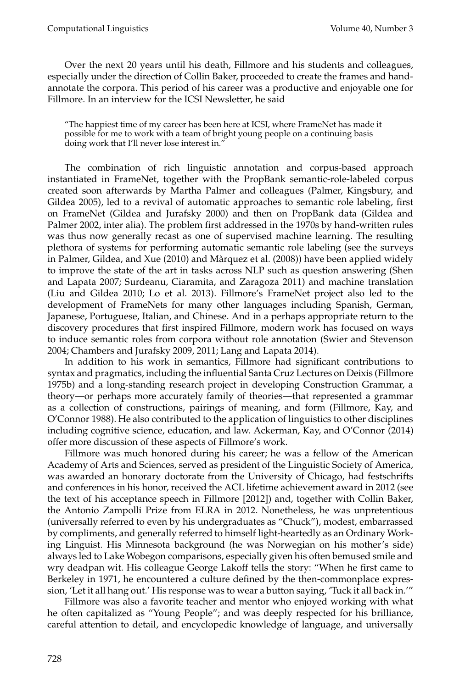Over the next 20 years until his death, Fillmore and his students and colleagues, especially under the direction of Collin Baker, proceeded to create the frames and handannotate the corpora. This period of his career was a productive and enjoyable one for Fillmore. In an interview for the ICSI Newsletter, he said

"The happiest time of my career has been here at ICSI, where FrameNet has made it possible for me to work with a team of bright young people on a continuing basis doing work that I'll never lose interest in."

The combination of rich linguistic annotation and corpus-based approach instantiated in FrameNet, together with the PropBank semantic-role-labeled corpus created soon afterwards by Martha Palmer and colleagues (Palmer, Kingsbury, and Gildea 2005), led to a revival of automatic approaches to semantic role labeling, first on FrameNet (Gildea and Jurafsky 2000) and then on PropBank data (Gildea and Palmer 2002, inter alia). The problem first addressed in the 1970s by hand-written rules was thus now generally recast as one of supervised machine learning. The resulting plethora of systems for performing automatic semantic role labeling (see the surveys in Palmer, Gildea, and Xue (2010) and Màrquez et al. (2008)) have been applied widely to improve the state of the art in tasks across NLP such as question answering (Shen and Lapata 2007; Surdeanu, Ciaramita, and Zaragoza 2011) and machine translation (Liu and Gildea 2010; Lo et al. 2013). Fillmore's FrameNet project also led to the development of FrameNets for many other languages including Spanish, German, Japanese, Portuguese, Italian, and Chinese. And in a perhaps appropriate return to the discovery procedures that first inspired Fillmore, modern work has focused on ways to induce semantic roles from corpora without role annotation (Swier and Stevenson 2004; Chambers and Jurafsky 2009, 2011; Lang and Lapata 2014).

In addition to his work in semantics, Fillmore had significant contributions to syntax and pragmatics, including the influential Santa Cruz Lectures on Deixis (Fillmore 1975b) and a long-standing research project in developing Construction Grammar, a theory—or perhaps more accurately family of theories—that represented a grammar as a collection of constructions, pairings of meaning, and form (Fillmore, Kay, and O'Connor 1988). He also contributed to the application of linguistics to other disciplines including cognitive science, education, and law. Ackerman, Kay, and O'Connor (2014) offer more discussion of these aspects of Fillmore's work.

Fillmore was much honored during his career; he was a fellow of the American Academy of Arts and Sciences, served as president of the Linguistic Society of America, was awarded an honorary doctorate from the University of Chicago, had festschrifts and conferences in his honor, received the ACL lifetime achievement award in 2012 (see the text of his acceptance speech in Fillmore [2012]) and, together with Collin Baker, the Antonio Zampolli Prize from ELRA in 2012. Nonetheless, he was unpretentious (universally referred to even by his undergraduates as "Chuck"), modest, embarrassed by compliments, and generally referred to himself light-heartedly as an Ordinary Working Linguist. His Minnesota background (he was Norwegian on his mother's side) always led to Lake Wobegon comparisons, especially given his often bemused smile and wry deadpan wit. His colleague George Lakoff tells the story: "When he first came to Berkeley in 1971, he encountered a culture defined by the then-commonplace expression, 'Let it all hang out.' His response was to wear a button saying, 'Tuck it all back in.'"

Fillmore was also a favorite teacher and mentor who enjoyed working with what he often capitalized as "Young People"; and was deeply respected for his brilliance, careful attention to detail, and encyclopedic knowledge of language, and universally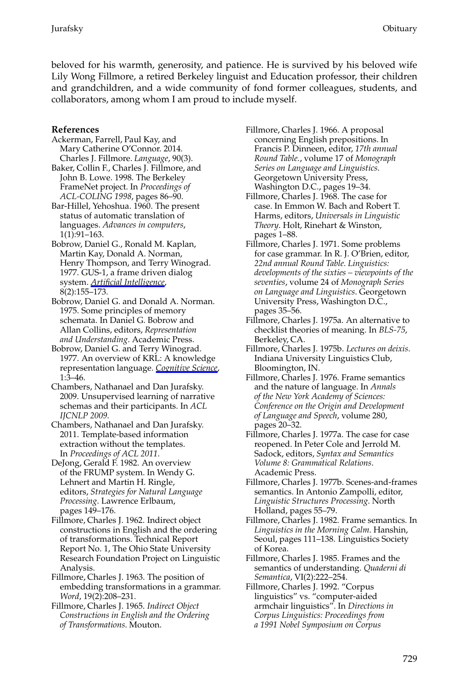beloved for his warmth, generosity, and patience. He is survived by his beloved wife Lily Wong Fillmore, a retired Berkeley linguist and Education professor, their children and grandchildren, and a wide community of fond former colleagues, students, and collaborators, among whom I am proud to include myself.

### **References**

- Ackerman, Farrell, Paul Kay, and Mary Catherine O'Connor. 2014. Charles J. Fillmore. *Language*, 90(3).
- Baker, Collin F., Charles J. Fillmore, and John B. Lowe. 1998. The Berkeley FrameNet project. In *Proceedings of ACL-COLING 1998*, pages 86–90.
- Bar-Hillel, Yehoshua. 1960. The present status o[f automatic translati](http://www.mitpressjournals.org/action/showLinks?crossref=10.1016%2F0004-3702%2877%2990018-2)on of languages. *Advances in computers*, 1(1):91–163.
- Bobrow, Daniel G., Ronald M. Kaplan, Martin Kay, Donald A. Norman, Henry Thompson, and Terry Winograd. 1977. GUS-1, a frame driven dialog system. *Artificial Intelligence*, 8(2):155–173.
- Bobrow, Daniel G. and Don[ald A. Norman.](http://www.mitpressjournals.org/action/showLinks?crossref=10.1207%2Fs15516709cog0101_2) 1975. Some principles of memory schemata. In Daniel G. Bobrow and Allan Collins, editors, *Representation and Understanding*. Academic Press.
- Bobrow, Daniel G. and Terry Winograd. 1977. An overview of KRL: A knowledge representation language. *Cognitive Science*, 1:3–46.
- Chambers, Nathanael and Dan Jurafsky. 2009. Unsupervised learning of narrative schemas and their participants. In *ACL IJCNLP 2009*.
- Chambers, Nathanael and Dan Jurafsky. 2011. Template-based information extraction without the templates. In *Proceedings of ACL 2011*.
- DeJong, Gerald F. 1982. An overview of the FRUMP system. In Wendy G. Lehnert and Martin H. Ringle, editors, *Strategies for Natural Language Processing*. Lawrence Erlbaum, pages 149–176.
- Fillmore, Charles J. 1962. Indirect object constructions in English and the ordering of transformations. Technical Report Report No. 1, The Ohio State University Research Foundation Project on Linguistic Analysis.
- Fillmore, Charles J. 1963. The position of embedding transformations in a grammar. *Word*, 19(2):208–231.
- Fillmore, Charles J. 1965. *Indirect Object Constructions in English and the Ordering of Transformations*. Mouton.
- Fillmore, Charles J. 1966. A proposal concerning English prepositions. In Francis P. Dinneen, editor, *17th annual Round Table.*, volume 17 of *Monograph Series on Language and Linguistics*. Georgetown University Press, Washington D.C., pages 19–34.
- Fillmore, Charles J. 1968. The case for case. In Emmon W. Bach and Robert T. Harms, editors, *Universals in Linguistic Theory*. Holt, Rinehart & Winston, pages 1–88.
- Fillmore, Charles J. 1971. Some problems for case grammar. In R. J. O'Brien, editor, *22nd annual Round Table. Linguistics: developments of the sixties – viewpoints of the seventies*, volume 24 of *Monograph Series on Language and Linguistics*. Georgetown University Press, Washington D.C., pages 35–56.
- Fillmore, Charles J. 1975a. An alternative to checklist theories of meaning. In *BLS-75*, Berkeley, CA.
- Fillmore, Charles J. 1975b. *Lectures on deixis*. Indiana University Linguistics Club, Bloomington, IN.
- Fillmore, Charles J. 1976. Frame semantics and the nature of language. In *Annals of the New York Academy of Sciences: Conference on the Origin and Development of Language and Speech*, volume 280, pages 20–32.
- Fillmore, Charles J. 1977a. The case for case reopened. In Peter Cole and Jerrold M. Sadock, editors, *Syntax and Semantics Volume 8: Grammatical Relations*. Academic Press.
- Fillmore, Charles J. 1977b. Scenes-and-frames semantics. In Antonio Zampolli, editor, *Linguistic Structures Processing*. North Holland, pages 55–79.
- Fillmore, Charles J. 1982. Frame semantics. In *Linguistics in the Morning Calm*. Hanshin, Seoul, pages 111–138. Linguistics Society of Korea.
- Fillmore, Charles J. 1985. Frames and the semantics of understanding. *Quaderni di Semantica*, VI(2):222–254.
- Fillmore, Charles J. 1992. "Corpus linguistics" vs. "computer-aided armchair linguistics". In *Directions in Corpus Linguistics: Proceedings from a 1991 Nobel Symposium on Corpus*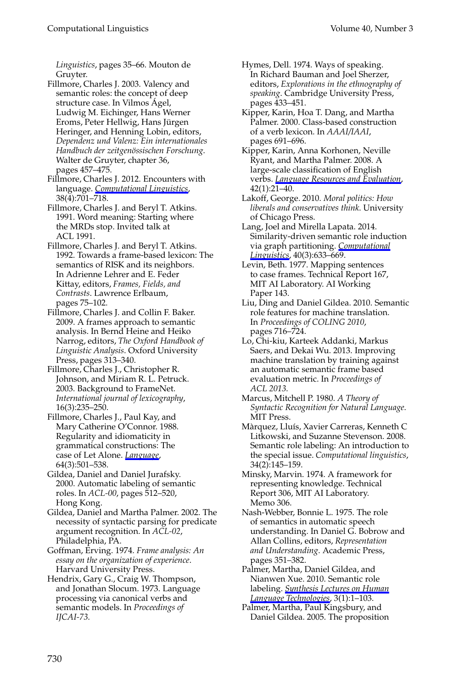### Computational Linguistics Volume 40, Number 3

*Linguistics*, pages 35–66. Mouton de Gruyter.

- Fillmore, Charles J. 2003. Valency and semantic roles: the concept of deep structure case. In Vilmos Agel, Ludwig M. Eichinger, Hans Werner Eroms, Peter Hellwig, Hans Jürgen Heringer, and Henning Lobin, editors, *Dependenz und Valenz: Ein internationales Handbuch der zeitgen¨ossischen Forschung*. Walter de Gruyter, chapter 36, pages 457–475.
- Fillmore, Charles J. 2012. Encounters with language. *Computational Linguistics*, 38(4):701–718.
- Fillmore, Charles J. and Beryl T. Atkins. 1991. Word meaning: Starting where the MRDs stop. Invited talk at ACL 1991.

Fillmore, Charles J. and Beryl T. Atkins. 1992. Towards a frame-based lexicon: The semantics of RISK and its neighbors. In Adrienne Lehrer and E. Feder Kittay, editors, *Frames, Fields, and Contrasts*. Lawrence Erlbaum, pages 75–102.

Fillmore, Charles J. and Collin F. Baker. 2009. A frames approach to semantic analysis. In Bernd Heine and Heiko Narrog, editors, *The Oxford Handbook of Linguistic Analysis*. Oxford University Press, pages 313–340.

Fillmore, Charles J., Christopher R. Johnson, and Miriam R. L. Petruck. 2003. Background [to Frame](http://www.mitpressjournals.org/action/showLinks?crossref=10.2307%2F414531)Net. *International journal of lexicography*, 16(3):235–250.

Fillmore, Charles J., Paul Kay, and Mary Catherine O'Connor. 1988. Regularity and idiomaticity in grammatical constructions: The case of Let Alone. *Language*, 64(3):501–538.

Gildea, Daniel and Daniel Jurafsky. 2000. Automatic labeling of semantic roles. In *ACL-00*, pages 512–520, Hong Kong.

Gildea, Daniel and Martha Palmer. 2002. The necessity of syntactic parsing for predicate argument recognition. In *ACL-02*, Philadelphia, PA.

Goffman, Erving. 1974. *Frame analysis: An essay on the organization of experience*. Harvard University Press.

Hendrix, Gary G., Craig W. Thompson, and Jonathan Slocum. 1973. Language processing via canonical verbs and semantic models. In *Proceedings of IJCAI-73*.

Hymes, Dell. 1974. Ways of speaking. In Richard Bauman and Joel Sherzer, editors, *Explorations in the ethnography of speaking*. Cambridge University Press, pages 433–451.

Kipper, [Karin, Hoa T. Dang, and Martha](http://www.mitpressjournals.org/action/showLinks?crossref=10.1007%2Fs10579-007-9048-2) Palmer. 2000. Class-based construction of a verb lexicon. In *AAAI/IAAI*, pages 691–696.

Kipper, Karin, Anna Korhonen, Neville Ryant, and Martha Palmer. 2008. A large-scale classification of English verbs. *Language Resour[ces and Evaluati](http://www.mitpressjournals.org/action/showLinks?system=10.1162%2FCOLI_a_00195)on*,  $42(1):2\overline{1-40}$ .

Lakoff, George. 2010. *Moral politics: How liberals and conservatives think*. University of Chicago Press.

Lang, Joel and Mirella Lapata. 2014. Similarity-driven semantic role induction via graph partitioning. *Computational Linguistics*, 40(3):633–669.

Levin, Beth. 1977. Mapping sentences to case frames. Technical Report 167, MIT AI Laboratory. AI Working Paper 143.

Liu, Ding and Daniel Gildea. 2010. Semantic role features for machine translation. In *Proceedings of COLING 2010*, pages 716–724.

Lo, Chi-kiu, Karteek Addanki, Markus Saers, and Dekai Wu. 2013. Improving machine translation by training against an automatic semantic frame based evaluation metric. In *Proceedings of ACL 2013*.

Marcus, Mitchell P. 1980. *A Theory of Syntactic Recognition for Natural Language*. MIT Press.

Màrquez, Lluís, Xavier Carreras, Kenneth C Litkowski, and Suzanne Stevenson. 2008. Semantic role labeling: An introduction to the special issue. *Computational linguistics*, 34(2):145–159.

Minsky, Marvin. 1974. A framework for representing knowledge. Technical Report 306, MIT AI Laboratory. Memo 306.

Nash-Webber, Bonnie L. 1975. The role of seman[tics in automatic speech](http://www.mitpressjournals.org/action/showLinks?crossref=10.2200%2FS00239ED1V01Y200912HLT006) [understanding. In Da](http://www.mitpressjournals.org/action/showLinks?crossref=10.2200%2FS00239ED1V01Y200912HLT006)niel G. Bobrow and Allan Collins, editors, *Representation and Understanding*. Academic Press, pages 351–382.

Palmer, Martha, Daniel Gildea, and Nianwen Xue. 2010. Semantic role labeling. *Synthesis Lectures on Human Language Technologies*, 3(1):1–103.

Palmer, Martha, Paul Kingsbury, and Daniel Gildea. 2005. The proposition